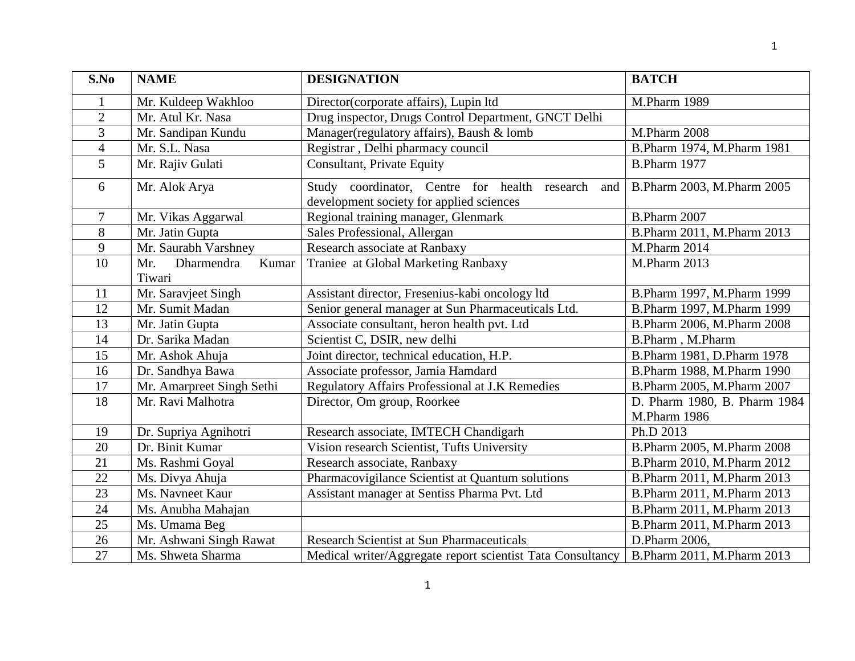|                             | <b>BATCH</b>              |
|-----------------------------|---------------------------|
|                             | <b>M.Pharm 1989</b>       |
| nent, GNCT Delhi            |                           |
| omb                         | <b>M.Pharm 2008</b>       |
|                             | B.Pharm 1974, M.Pharm 198 |
|                             | <b>B.Pharm 1977</b>       |
| ealth<br>research and<br>es | B.Pharm 2003, M.Pharm 200 |
|                             | $D$ Dhorm 2007            |

| 1              | Mr. Kuldeep Wakhloo                  | Director(corporate affairs), Lupin ltd                                                           | M.Pharm 1989                 |
|----------------|--------------------------------------|--------------------------------------------------------------------------------------------------|------------------------------|
| $\overline{2}$ | Mr. Atul Kr. Nasa                    | Drug inspector, Drugs Control Department, GNCT Delhi                                             |                              |
| 3              | Mr. Sandipan Kundu                   | Manager(regulatory affairs), Baush & lomb                                                        | <b>M.Pharm 2008</b>          |
| $\overline{4}$ | Mr. S.L. Nasa                        | Registrar, Delhi pharmacy council                                                                | B.Pharm 1974, M.Pharm 1981   |
| $\overline{5}$ | Mr. Rajiv Gulati                     | <b>Consultant, Private Equity</b>                                                                | <b>B.Pharm 1977</b>          |
| 6              | Mr. Alok Arya                        | Study coordinator, Centre for health research<br>and<br>development society for applied sciences | B.Pharm 2003, M.Pharm 2005   |
| $\overline{7}$ | Mr. Vikas Aggarwal                   | Regional training manager, Glenmark                                                              | <b>B.Pharm 2007</b>          |
| 8              | Mr. Jatin Gupta                      | Sales Professional, Allergan                                                                     | B.Pharm 2011, M.Pharm 2013   |
| 9              | Mr. Saurabh Varshney                 | Research associate at Ranbaxy                                                                    | M.Pharm 2014                 |
| 10             | Dharmendra<br>Kumar<br>Mr.<br>Tiwari | Traniee at Global Marketing Ranbaxy                                                              | <b>M.Pharm 2013</b>          |
| 11             | Mr. Saravjeet Singh                  | Assistant director, Fresenius-kabi oncology ltd                                                  | B.Pharm 1997, M.Pharm 1999   |
| 12             | Mr. Sumit Madan                      | Senior general manager at Sun Pharmaceuticals Ltd.                                               | B.Pharm 1997, M.Pharm 1999   |
| 13             | Mr. Jatin Gupta                      | Associate consultant, heron health pvt. Ltd                                                      | B.Pharm 2006, M.Pharm 2008   |
| 14             | Dr. Sarika Madan                     | Scientist C, DSIR, new delhi                                                                     | B.Pharm, M.Pharm             |
| 15             | Mr. Ashok Ahuja                      | Joint director, technical education, H.P.                                                        | B.Pharm 1981, D.Pharm 1978   |
| 16             | Dr. Sandhya Bawa                     | Associate professor, Jamia Hamdard                                                               | B.Pharm 1988, M.Pharm 1990   |
| 17             | Mr. Amarpreet Singh Sethi            | Regulatory Affairs Professional at J.K Remedies                                                  | B.Pharm 2005, M.Pharm 2007   |
| 18             | Mr. Ravi Malhotra                    | Director, Om group, Roorkee                                                                      | D. Pharm 1980, B. Pharm 1984 |
|                |                                      |                                                                                                  | M.Pharm 1986                 |
| 19             | Dr. Supriya Agnihotri                | Research associate, IMTECH Chandigarh                                                            | Ph.D 2013                    |
| 20             | Dr. Binit Kumar                      | Vision research Scientist, Tufts University                                                      | B.Pharm 2005, M.Pharm 2008   |
| 21             | Ms. Rashmi Goyal                     | Research associate, Ranbaxy                                                                      | B.Pharm 2010, M.Pharm 2012   |
| 22             | Ms. Divya Ahuja                      | Pharmacovigilance Scientist at Quantum solutions                                                 | B.Pharm 2011, M.Pharm 2013   |
| 23             | Ms. Navneet Kaur                     | Assistant manager at Sentiss Pharma Pvt. Ltd                                                     | B.Pharm 2011, M.Pharm 2013   |
| 24             | Ms. Anubha Mahajan                   |                                                                                                  | B.Pharm 2011, M.Pharm 2013   |
| 25             | Ms. Umama Beg                        |                                                                                                  | B.Pharm 2011, M.Pharm 2013   |
| 26             | Mr. Ashwani Singh Rawat              | Research Scientist at Sun Pharmaceuticals                                                        | D.Pharm 2006,                |
| 27             | Ms. Shweta Sharma                    | Medical writer/Aggregate report scientist Tata Consultancy                                       | B.Pharm 2011, M.Pharm 2013   |

**S.No NAME DESIGNATION**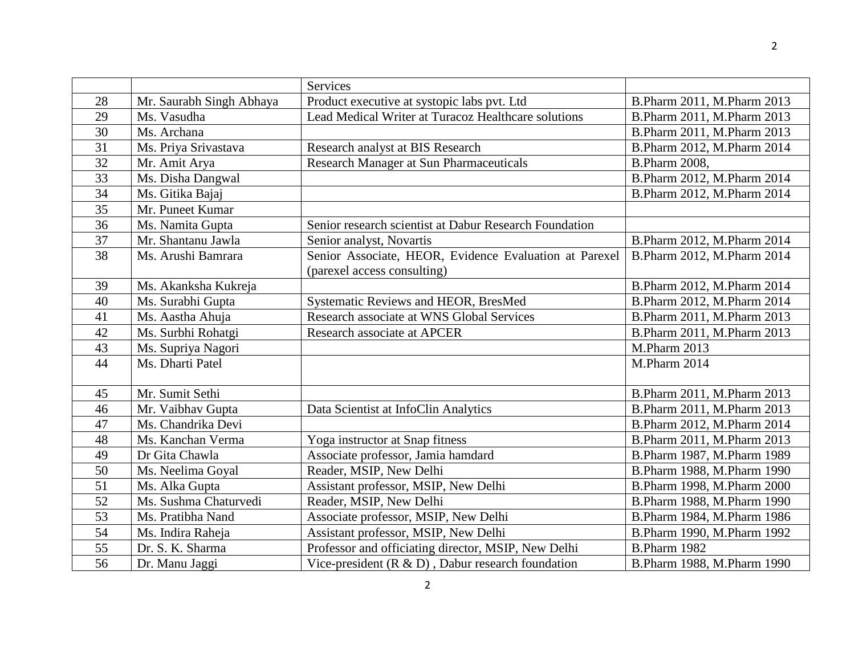|                 |                          | Services                                               |                            |
|-----------------|--------------------------|--------------------------------------------------------|----------------------------|
| 28              | Mr. Saurabh Singh Abhaya | Product executive at systopic labs pvt. Ltd            | B.Pharm 2011, M.Pharm 2013 |
| 29              | Ms. Vasudha              | Lead Medical Writer at Turacoz Healthcare solutions    | B.Pharm 2011, M.Pharm 2013 |
| 30              | Ms. Archana              |                                                        | B.Pharm 2011, M.Pharm 2013 |
| 31              | Ms. Priya Srivastava     | Research analyst at BIS Research                       | B.Pharm 2012, M.Pharm 2014 |
| 32              | Mr. Amit Arya            | Research Manager at Sun Pharmaceuticals                | <b>B.Pharm 2008,</b>       |
| 33              | Ms. Disha Dangwal        |                                                        | B.Pharm 2012, M.Pharm 2014 |
| 34              | Ms. Gitika Bajaj         |                                                        | B.Pharm 2012, M.Pharm 2014 |
| 35              | Mr. Puneet Kumar         |                                                        |                            |
| 36              | Ms. Namita Gupta         | Senior research scientist at Dabur Research Foundation |                            |
| 37              | Mr. Shantanu Jawla       | Senior analyst, Novartis                               | B.Pharm 2012, M.Pharm 2014 |
| 38              | Ms. Arushi Bamrara       | Senior Associate, HEOR, Evidence Evaluation at Parexel | B.Pharm 2012, M.Pharm 2014 |
|                 |                          | (parexel access consulting)                            |                            |
| 39              | Ms. Akanksha Kukreja     |                                                        | B.Pharm 2012, M.Pharm 2014 |
| 40              | Ms. Surabhi Gupta        | Systematic Reviews and HEOR, BresMed                   | B.Pharm 2012, M.Pharm 2014 |
| 41              | Ms. Aastha Ahuja         | Research associate at WNS Global Services              | B.Pharm 2011, M.Pharm 2013 |
| 42              | Ms. Surbhi Rohatgi       | Research associate at APCER                            | B.Pharm 2011, M.Pharm 2013 |
| 43              | Ms. Supriya Nagori       |                                                        | <b>M.Pharm 2013</b>        |
| 44              | Ms. Dharti Patel         |                                                        | <b>M.Pharm 2014</b>        |
|                 |                          |                                                        |                            |
| 45              | Mr. Sumit Sethi          |                                                        | B.Pharm 2011, M.Pharm 2013 |
| 46              | Mr. Vaibhav Gupta        | Data Scientist at InfoClin Analytics                   | B.Pharm 2011, M.Pharm 2013 |
| 47              | Ms. Chandrika Devi       |                                                        | B.Pharm 2012, M.Pharm 2014 |
| 48              | Ms. Kanchan Verma        | Yoga instructor at Snap fitness                        | B.Pharm 2011, M.Pharm 2013 |
| 49              | Dr Gita Chawla           | Associate professor, Jamia hamdard                     | B.Pharm 1987, M.Pharm 1989 |
| 50              | Ms. Neelima Goyal        | Reader, MSIP, New Delhi                                | B.Pharm 1988, M.Pharm 1990 |
| $\overline{51}$ | Ms. Alka Gupta           | Assistant professor, MSIP, New Delhi                   | B.Pharm 1998, M.Pharm 2000 |
| 52              | Ms. Sushma Chaturvedi    | Reader, MSIP, New Delhi                                | B.Pharm 1988, M.Pharm 1990 |
| 53              | Ms. Pratibha Nand        | Associate professor, MSIP, New Delhi                   | B.Pharm 1984, M.Pharm 1986 |
| 54              | Ms. Indira Raheja        | Assistant professor, MSIP, New Delhi                   | B.Pharm 1990, M.Pharm 1992 |
| 55              | Dr. S. K. Sharma         | Professor and officiating director, MSIP, New Delhi    | <b>B.Pharm 1982</b>        |
| 56              | Dr. Manu Jaggi           | Vice-president $(R & D)$ , Dabur research foundation   | B.Pharm 1988, M.Pharm 1990 |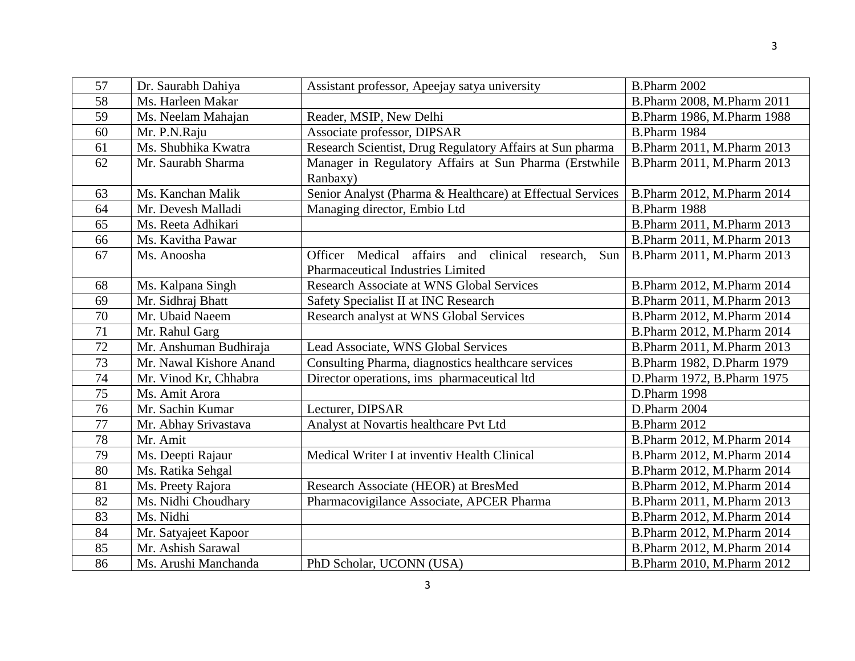| 57              | Dr. Saurabh Dahiya      | Assistant professor, Apeejay satya university               | <b>B.Pharm 2002</b>        |
|-----------------|-------------------------|-------------------------------------------------------------|----------------------------|
| 58              | Ms. Harleen Makar       |                                                             | B.Pharm 2008, M.Pharm 2011 |
| $\overline{59}$ | Ms. Neelam Mahajan      | Reader, MSIP, New Delhi                                     | B.Pharm 1986, M.Pharm 1988 |
| 60              | Mr. P.N.Raju            | Associate professor, DIPSAR                                 | <b>B.Pharm 1984</b>        |
| 61              | Ms. Shubhika Kwatra     | Research Scientist, Drug Regulatory Affairs at Sun pharma   | B.Pharm 2011, M.Pharm 2013 |
| 62              | Mr. Saurabh Sharma      | Manager in Regulatory Affairs at Sun Pharma (Erstwhile      | B.Pharm 2011, M.Pharm 2013 |
|                 |                         | Ranbaxy)                                                    |                            |
| 63              | Ms. Kanchan Malik       | Senior Analyst (Pharma & Healthcare) at Effectual Services  | B.Pharm 2012, M.Pharm 2014 |
| 64              | Mr. Devesh Malladi      | Managing director, Embio Ltd                                | <b>B.Pharm 1988</b>        |
| 65              | Ms. Reeta Adhikari      |                                                             | B.Pharm 2011, M.Pharm 2013 |
| 66              | Ms. Kavitha Pawar       |                                                             | B.Pharm 2011, M.Pharm 2013 |
| 67              | Ms. Anoosha             | affairs and clinical research,<br>Medical<br>Officer<br>Sun | B.Pharm 2011, M.Pharm 2013 |
|                 |                         | Pharmaceutical Industries Limited                           |                            |
| 68              | Ms. Kalpana Singh       | <b>Research Associate at WNS Global Services</b>            | B.Pharm 2012, M.Pharm 2014 |
| 69              | Mr. Sidhraj Bhatt       | Safety Specialist II at INC Research                        | B.Pharm 2011, M.Pharm 2013 |
| 70              | Mr. Ubaid Naeem         | Research analyst at WNS Global Services                     | B.Pharm 2012, M.Pharm 2014 |
| 71              | Mr. Rahul Garg          |                                                             | B.Pharm 2012, M.Pharm 2014 |
| 72              | Mr. Anshuman Budhiraja  | Lead Associate, WNS Global Services                         | B.Pharm 2011, M.Pharm 2013 |
| 73              | Mr. Nawal Kishore Anand | Consulting Pharma, diagnostics healthcare services          | B.Pharm 1982, D.Pharm 1979 |
| 74              | Mr. Vinod Kr, Chhabra   | Director operations, ims pharmaceutical ltd                 | D.Pharm 1972, B.Pharm 1975 |
| 75              | Ms. Amit Arora          |                                                             | D.Pharm 1998               |
| 76              | Mr. Sachin Kumar        | Lecturer, DIPSAR                                            | D.Pharm 2004               |
| 77              | Mr. Abhay Srivastava    | Analyst at Novartis healthcare Pvt Ltd                      | <b>B.Pharm 2012</b>        |
| 78              | Mr. Amit                |                                                             | B.Pharm 2012, M.Pharm 2014 |
| 79              | Ms. Deepti Rajaur       | Medical Writer I at inventiv Health Clinical                | B.Pharm 2012, M.Pharm 2014 |
| 80              | Ms. Ratika Sehgal       |                                                             | B.Pharm 2012, M.Pharm 2014 |
| 81              | Ms. Preety Rajora       | Research Associate (HEOR) at BresMed                        | B.Pharm 2012, M.Pharm 2014 |
| 82              | Ms. Nidhi Choudhary     | Pharmacovigilance Associate, APCER Pharma                   | B.Pharm 2011, M.Pharm 2013 |
| 83              | Ms. Nidhi               |                                                             | B.Pharm 2012, M.Pharm 2014 |
| 84              | Mr. Satyajeet Kapoor    |                                                             | B.Pharm 2012, M.Pharm 2014 |
| 85              | Mr. Ashish Sarawal      |                                                             | B.Pharm 2012, M.Pharm 2014 |
| 86              | Ms. Arushi Manchanda    | PhD Scholar, UCONN (USA)                                    | B.Pharm 2010, M.Pharm 2012 |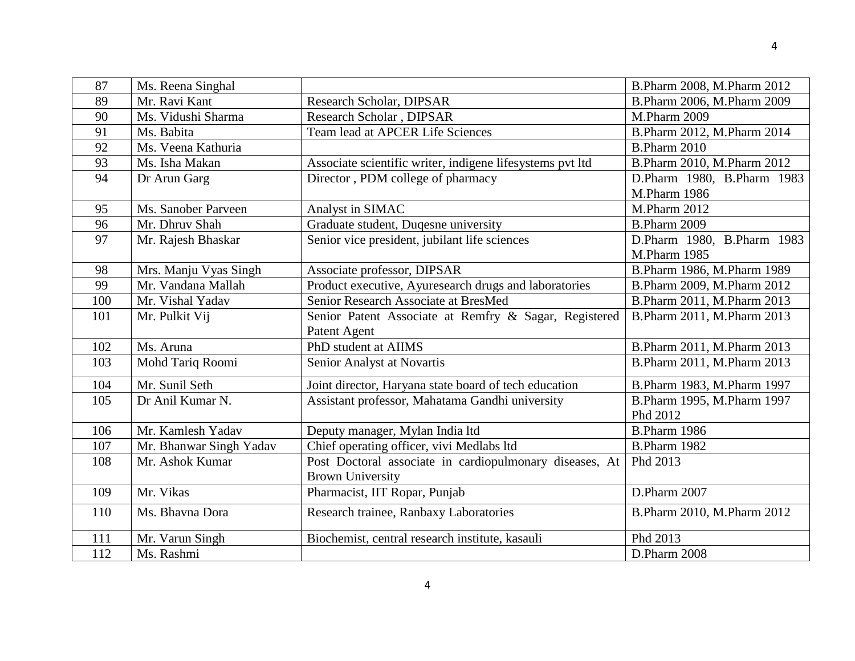| 87  | Ms. Reena Singhal       |                                                           | B.Pharm 2008, M.Pharm 2012 |
|-----|-------------------------|-----------------------------------------------------------|----------------------------|
| 89  | Mr. Ravi Kant           | Research Scholar, DIPSAR                                  | B.Pharm 2006, M.Pharm 2009 |
| 90  | Ms. Vidushi Sharma      | Research Scholar, DIPSAR                                  | <b>M.Pharm 2009</b>        |
| 91  | Ms. Babita              | Team lead at APCER Life Sciences                          | B.Pharm 2012, M.Pharm 2014 |
| 92  | Ms. Veena Kathuria      |                                                           | <b>B.Pharm 2010</b>        |
| 93  | Ms. Isha Makan          | Associate scientific writer, indigene lifesystems pvt ltd | B.Pharm 2010, M.Pharm 2012 |
| 94  | Dr Arun Garg            | Director, PDM college of pharmacy                         | D.Pharm 1980, B.Pharm 1983 |
|     |                         |                                                           | M.Pharm 1986               |
| 95  | Ms. Sanober Parveen     | Analyst in SIMAC                                          | <b>M.Pharm 2012</b>        |
| 96  | Mr. Dhruv Shah          | Graduate student, Duqesne university                      | <b>B.Pharm 2009</b>        |
| 97  | Mr. Rajesh Bhaskar      | Senior vice president, jubilant life sciences             | D.Pharm 1980, B.Pharm 1983 |
|     |                         |                                                           | <b>M.Pharm 1985</b>        |
| 98  | Mrs. Manju Vyas Singh   | Associate professor, DIPSAR                               | B.Pharm 1986, M.Pharm 1989 |
| 99  | Mr. Vandana Mallah      | Product executive, Ayuresearch drugs and laboratories     | B.Pharm 2009, M.Pharm 2012 |
| 100 | Mr. Vishal Yadav        | Senior Research Associate at BresMed                      | B.Pharm 2011, M.Pharm 2013 |
| 101 | Mr. Pulkit Vij          | Senior Patent Associate at Remfry & Sagar, Registered     | B.Pharm 2011, M.Pharm 2013 |
|     |                         | Patent Agent                                              |                            |
| 102 | Ms. Aruna               | PhD student at AIIMS                                      | B.Pharm 2011, M.Pharm 2013 |
| 103 | Mohd Tariq Roomi        | Senior Analyst at Novartis                                | B.Pharm 2011, M.Pharm 2013 |
| 104 | Mr. Sunil Seth          | Joint director, Haryana state board of tech education     | B.Pharm 1983, M.Pharm 1997 |
| 105 | Dr Anil Kumar N.        | Assistant professor, Mahatama Gandhi university           | B.Pharm 1995, M.Pharm 1997 |
|     |                         |                                                           | Phd 2012                   |
| 106 | Mr. Kamlesh Yadav       | Deputy manager, Mylan India ltd                           | <b>B.Pharm 1986</b>        |
| 107 | Mr. Bhanwar Singh Yadav | Chief operating officer, vivi Medlabs ltd                 | <b>B.Pharm 1982</b>        |
| 108 | Mr. Ashok Kumar         | Post Doctoral associate in cardiopulmonary diseases, At   | Phd 2013                   |
|     |                         | <b>Brown University</b>                                   |                            |
| 109 | Mr. Vikas               | Pharmacist, IIT Ropar, Punjab                             | D.Pharm 2007               |
| 110 | Ms. Bhavna Dora         | Research trainee, Ranbaxy Laboratories                    | B.Pharm 2010, M.Pharm 2012 |
| 111 | Mr. Varun Singh         | Biochemist, central research institute, kasauli           | Phd 2013                   |
| 112 | Ms. Rashmi              |                                                           | D.Pharm 2008               |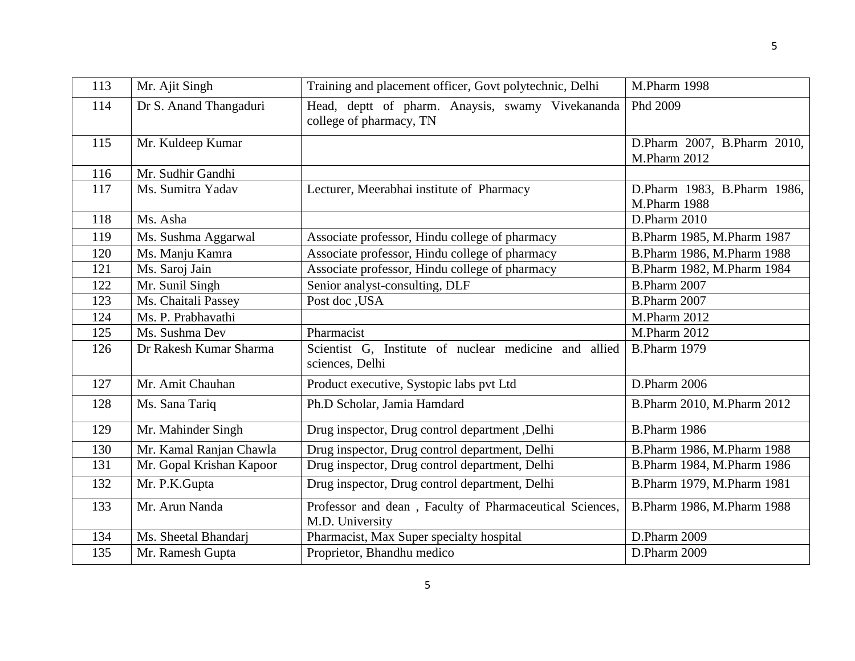| 113 | Mr. Ajit Singh           | Training and placement officer, Govt polytechnic, Delhi                     | <b>M.Pharm 1998</b>                                |
|-----|--------------------------|-----------------------------------------------------------------------------|----------------------------------------------------|
| 114 | Dr S. Anand Thangaduri   | Head, deptt of pharm. Anaysis, swamy Vivekananda<br>college of pharmacy, TN | Phd 2009                                           |
| 115 | Mr. Kuldeep Kumar        |                                                                             | D.Pharm 2007, B.Pharm 2010,<br><b>M.Pharm 2012</b> |
| 116 | Mr. Sudhir Gandhi        |                                                                             |                                                    |
| 117 | Ms. Sumitra Yadav        | Lecturer, Meerabhai institute of Pharmacy                                   | D.Pharm 1983, B.Pharm 1986,<br><b>M.Pharm 1988</b> |
| 118 | Ms. Asha                 |                                                                             | D.Pharm 2010                                       |
| 119 | Ms. Sushma Aggarwal      | Associate professor, Hindu college of pharmacy                              | B.Pharm 1985, M.Pharm 1987                         |
| 120 | Ms. Manju Kamra          | Associate professor, Hindu college of pharmacy                              | B.Pharm 1986, M.Pharm 1988                         |
| 121 | Ms. Saroj Jain           | Associate professor, Hindu college of pharmacy                              | B.Pharm 1982, M.Pharm 1984                         |
| 122 | Mr. Sunil Singh          | Senior analyst-consulting, DLF                                              | <b>B.Pharm 2007</b>                                |
| 123 | Ms. Chaitali Passey      | Post doc, USA                                                               | <b>B.Pharm 2007</b>                                |
| 124 | Ms. P. Prabhavathi       |                                                                             | <b>M.Pharm 2012</b>                                |
| 125 | Ms. Sushma Dev           | Pharmacist                                                                  | <b>M.Pharm 2012</b>                                |
| 126 | Dr Rakesh Kumar Sharma   | Scientist G, Institute of nuclear medicine and allied<br>sciences, Delhi    | <b>B.Pharm 1979</b>                                |
| 127 | Mr. Amit Chauhan         | Product executive, Systopic labs pvt Ltd                                    | D.Pharm 2006                                       |
| 128 | Ms. Sana Tariq           | Ph.D Scholar, Jamia Hamdard                                                 | B.Pharm 2010, M.Pharm 2012                         |
| 129 | Mr. Mahinder Singh       | Drug inspector, Drug control department , Delhi                             | <b>B.Pharm 1986</b>                                |
| 130 | Mr. Kamal Ranjan Chawla  | Drug inspector, Drug control department, Delhi                              | B.Pharm 1986, M.Pharm 1988                         |
| 131 | Mr. Gopal Krishan Kapoor | Drug inspector, Drug control department, Delhi                              | B.Pharm 1984, M.Pharm 1986                         |
| 132 | Mr. P.K.Gupta            | Drug inspector, Drug control department, Delhi                              | B.Pharm 1979, M.Pharm 1981                         |
| 133 | Mr. Arun Nanda           | Professor and dean, Faculty of Pharmaceutical Sciences,<br>M.D. University  | B.Pharm 1986, M.Pharm 1988                         |
| 134 | Ms. Sheetal Bhandari     | Pharmacist, Max Super specialty hospital                                    | D.Pharm 2009                                       |
| 135 | Mr. Ramesh Gupta         | Proprietor, Bhandhu medico                                                  | D.Pharm 2009                                       |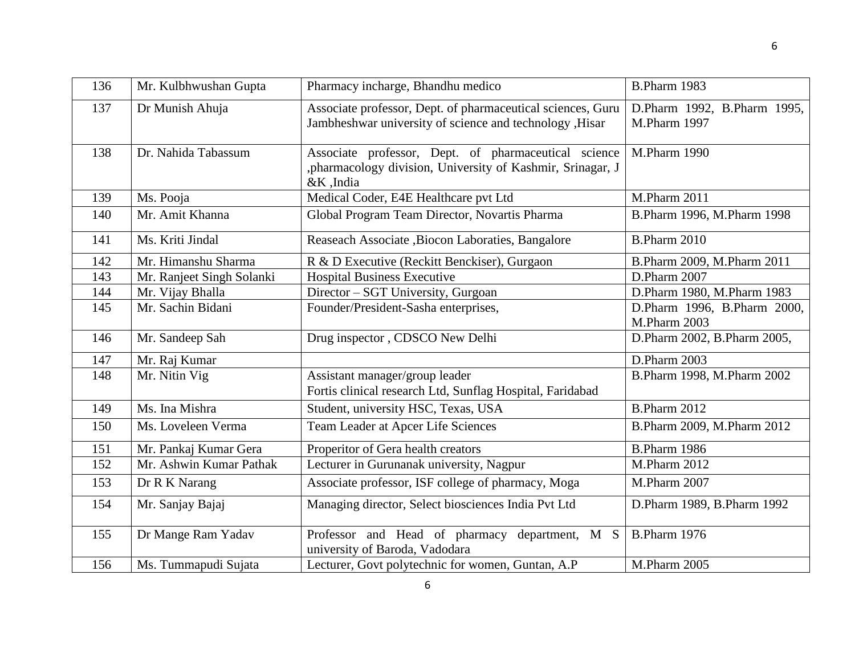| 136 | Mr. Kulbhwushan Gupta     | Pharmacy incharge, Bhandhu medico                                                                                               | <b>B.Pharm 1983</b>                                |
|-----|---------------------------|---------------------------------------------------------------------------------------------------------------------------------|----------------------------------------------------|
| 137 | Dr Munish Ahuja           | Associate professor, Dept. of pharmaceutical sciences, Guru<br>Jambheshwar university of science and technology , Hisar         | D.Pharm 1992, B.Pharm 1995,<br><b>M.Pharm 1997</b> |
| 138 | Dr. Nahida Tabassum       | Associate professor, Dept. of pharmaceutical science<br>,pharmacology division, University of Kashmir, Srinagar, J<br>&K ,India | <b>M.Pharm 1990</b>                                |
| 139 | Ms. Pooja                 | Medical Coder, E4E Healthcare pvt Ltd                                                                                           | <b>M.Pharm 2011</b>                                |
| 140 | Mr. Amit Khanna           | Global Program Team Director, Novartis Pharma                                                                                   | B.Pharm 1996, M.Pharm 1998                         |
| 141 | Ms. Kriti Jindal          | Reaseach Associate , Biocon Laboraties, Bangalore                                                                               | <b>B.Pharm 2010</b>                                |
| 142 | Mr. Himanshu Sharma       | R & D Executive (Reckitt Benckiser), Gurgaon                                                                                    | B.Pharm 2009, M.Pharm 2011                         |
| 143 | Mr. Ranjeet Singh Solanki | <b>Hospital Business Executive</b>                                                                                              | D.Pharm 2007                                       |
| 144 | Mr. Vijay Bhalla          | Director - SGT University, Gurgoan                                                                                              | D.Pharm 1980, M.Pharm 1983                         |
| 145 | Mr. Sachin Bidani         | Founder/President-Sasha enterprises,                                                                                            | D.Pharm 1996, B.Pharm 2000,<br><b>M.Pharm 2003</b> |
| 146 | Mr. Sandeep Sah           | Drug inspector, CDSCO New Delhi                                                                                                 | D.Pharm 2002, B.Pharm 2005,                        |
| 147 | Mr. Raj Kumar             |                                                                                                                                 | D.Pharm 2003                                       |
| 148 | Mr. Nitin Vig             | Assistant manager/group leader<br>Fortis clinical research Ltd, Sunflag Hospital, Faridabad                                     | B.Pharm 1998, M.Pharm 2002                         |
| 149 | Ms. Ina Mishra            | Student, university HSC, Texas, USA                                                                                             | <b>B.Pharm 2012</b>                                |
| 150 | Ms. Loveleen Verma        | Team Leader at Apcer Life Sciences                                                                                              | B.Pharm 2009, M.Pharm 2012                         |
| 151 | Mr. Pankaj Kumar Gera     | Properitor of Gera health creators                                                                                              | <b>B.Pharm 1986</b>                                |
| 152 | Mr. Ashwin Kumar Pathak   | Lecturer in Gurunanak university, Nagpur                                                                                        | <b>M.Pharm 2012</b>                                |
| 153 | Dr R K Narang             | Associate professor, ISF college of pharmacy, Moga                                                                              | <b>M.Pharm 2007</b>                                |
| 154 | Mr. Sanjay Bajaj          | Managing director, Select biosciences India Pvt Ltd                                                                             | D.Pharm 1989, B.Pharm 1992                         |
| 155 | Dr Mange Ram Yadav        | Professor and Head of pharmacy department, M S<br>university of Baroda, Vadodara                                                | <b>B.Pharm 1976</b>                                |
| 156 | Ms. Tummapudi Sujata      | Lecturer, Govt polytechnic for women, Guntan, A.P                                                                               | <b>M.Pharm 2005</b>                                |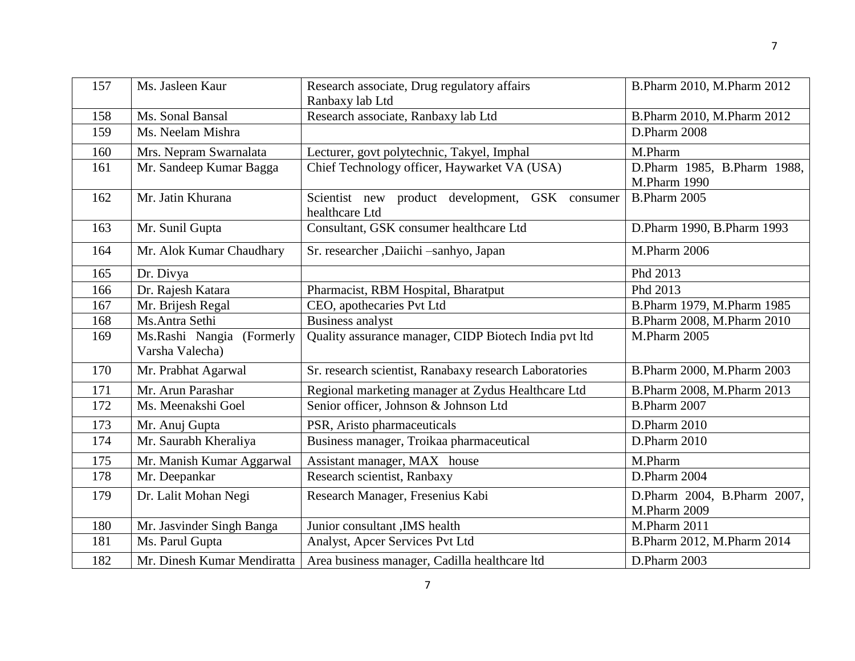| 157 | Ms. Jasleen Kaur                             | Research associate, Drug regulatory affairs<br>Ranbaxy lab Ltd    | B.Pharm 2010, M.Pharm 2012                         |
|-----|----------------------------------------------|-------------------------------------------------------------------|----------------------------------------------------|
| 158 | Ms. Sonal Bansal                             | Research associate, Ranbaxy lab Ltd                               | B.Pharm 2010, M.Pharm 2012                         |
| 159 | Ms. Neelam Mishra                            |                                                                   | D.Pharm 2008                                       |
| 160 | Mrs. Nepram Swarnalata                       | Lecturer, govt polytechnic, Takyel, Imphal                        | M.Pharm                                            |
| 161 | Mr. Sandeep Kumar Bagga                      | Chief Technology officer, Haywarket VA (USA)                      | D.Pharm 1985, B.Pharm 1988,<br><b>M.Pharm 1990</b> |
| 162 | Mr. Jatin Khurana                            | Scientist new product development, GSK consumer<br>healthcare Ltd | <b>B.Pharm 2005</b>                                |
| 163 | Mr. Sunil Gupta                              | Consultant, GSK consumer healthcare Ltd                           | D.Pharm 1990, B.Pharm 1993                         |
| 164 | Mr. Alok Kumar Chaudhary                     | Sr. researcher , Daiichi -sanhyo, Japan                           | <b>M.Pharm 2006</b>                                |
| 165 | Dr. Divya                                    |                                                                   | Phd 2013                                           |
| 166 | Dr. Rajesh Katara                            | Pharmacist, RBM Hospital, Bharatput                               | Phd 2013                                           |
| 167 | Mr. Brijesh Regal                            | CEO, apothecaries Pvt Ltd                                         | B.Pharm 1979, M.Pharm 1985                         |
| 168 | Ms.Antra Sethi                               | <b>Business analyst</b>                                           | B.Pharm 2008, M.Pharm 2010                         |
| 169 | Ms.Rashi Nangia (Formerly<br>Varsha Valecha) | Quality assurance manager, CIDP Biotech India pvt ltd             | <b>M.Pharm 2005</b>                                |
| 170 | Mr. Prabhat Agarwal                          | Sr. research scientist, Ranabaxy research Laboratories            | B.Pharm 2000, M.Pharm 2003                         |
| 171 | Mr. Arun Parashar                            | Regional marketing manager at Zydus Healthcare Ltd                | B.Pharm 2008, M.Pharm 2013                         |
| 172 | Ms. Meenakshi Goel                           | Senior officer, Johnson & Johnson Ltd                             | <b>B.Pharm 2007</b>                                |
| 173 | Mr. Anuj Gupta                               | PSR, Aristo pharmaceuticals                                       | D.Pharm 2010                                       |
| 174 | Mr. Saurabh Kheraliya                        | Business manager, Troikaa pharmaceutical                          | D.Pharm 2010                                       |
| 175 | Mr. Manish Kumar Aggarwal                    | Assistant manager, MAX house                                      | M.Pharm                                            |
| 178 | Mr. Deepankar                                | Research scientist, Ranbaxy                                       | D.Pharm 2004                                       |
| 179 | Dr. Lalit Mohan Negi                         | Research Manager, Fresenius Kabi                                  | D.Pharm 2004, B.Pharm 2007,<br><b>M.Pharm 2009</b> |
| 180 | Mr. Jasvinder Singh Banga                    | Junior consultant ,IMS health                                     | <b>M.Pharm 2011</b>                                |
| 181 | Ms. Parul Gupta                              | Analyst, Apcer Services Pvt Ltd                                   | B.Pharm 2012, M.Pharm 2014                         |
| 182 | Mr. Dinesh Kumar Mendiratta                  | Area business manager, Cadilla healthcare ltd                     | D.Pharm 2003                                       |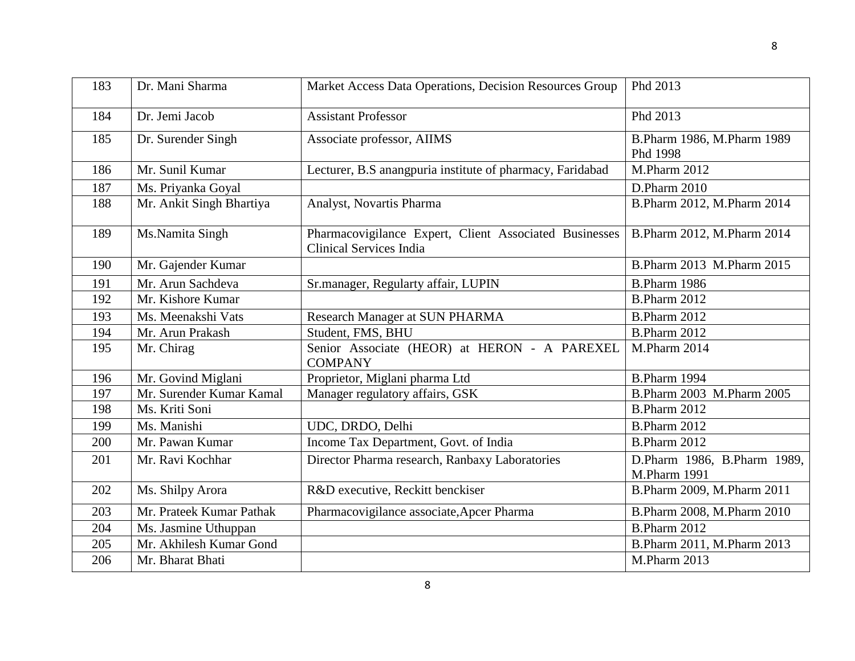| 183 | Dr. Mani Sharma          | Market Access Data Operations, Decision Resources Group                                  | Phd 2013                                           |
|-----|--------------------------|------------------------------------------------------------------------------------------|----------------------------------------------------|
| 184 | Dr. Jemi Jacob           | <b>Assistant Professor</b>                                                               | Phd 2013                                           |
| 185 | Dr. Surender Singh       | Associate professor, AIIMS                                                               | B.Pharm 1986, M.Pharm 1989<br>Phd 1998             |
| 186 | Mr. Sunil Kumar          | Lecturer, B.S anangpuria institute of pharmacy, Faridabad                                | <b>M.Pharm 2012</b>                                |
| 187 | Ms. Priyanka Goyal       |                                                                                          | D.Pharm 2010                                       |
| 188 | Mr. Ankit Singh Bhartiya | Analyst, Novartis Pharma                                                                 | B.Pharm 2012, M.Pharm 2014                         |
| 189 | Ms.Namita Singh          | Pharmacovigilance Expert, Client Associated Businesses<br><b>Clinical Services India</b> | B.Pharm 2012, M.Pharm 2014                         |
| 190 | Mr. Gajender Kumar       |                                                                                          | B.Pharm 2013 M.Pharm 2015                          |
| 191 | Mr. Arun Sachdeva        | Sr.manager, Regularty affair, LUPIN                                                      | <b>B.Pharm 1986</b>                                |
| 192 | Mr. Kishore Kumar        |                                                                                          | <b>B.Pharm 2012</b>                                |
| 193 | Ms. Meenakshi Vats       | Research Manager at SUN PHARMA                                                           | <b>B.Pharm 2012</b>                                |
| 194 | Mr. Arun Prakash         | Student, FMS, BHU                                                                        | <b>B.Pharm 2012</b>                                |
| 195 | Mr. Chirag               | Senior Associate (HEOR) at HERON - A PAREXEL<br><b>COMPANY</b>                           | <b>M.Pharm 2014</b>                                |
| 196 | Mr. Govind Miglani       | Proprietor, Miglani pharma Ltd                                                           | <b>B.Pharm 1994</b>                                |
| 197 | Mr. Surender Kumar Kamal | Manager regulatory affairs, GSK                                                          | B.Pharm 2003 M.Pharm 2005                          |
| 198 | Ms. Kriti Soni           |                                                                                          | <b>B.Pharm 2012</b>                                |
| 199 | Ms. Manishi              | UDC, DRDO, Delhi                                                                         | <b>B.Pharm 2012</b>                                |
| 200 | Mr. Pawan Kumar          | Income Tax Department, Govt. of India                                                    | <b>B.Pharm 2012</b>                                |
| 201 | Mr. Ravi Kochhar         | Director Pharma research, Ranbaxy Laboratories                                           | D.Pharm 1986, B.Pharm 1989,<br><b>M.Pharm 1991</b> |
| 202 | Ms. Shilpy Arora         | R&D executive, Reckitt benckiser                                                         | B.Pharm 2009, M.Pharm 2011                         |
| 203 | Mr. Prateek Kumar Pathak | Pharmacovigilance associate, Apcer Pharma                                                | B.Pharm 2008, M.Pharm 2010                         |
| 204 | Ms. Jasmine Uthuppan     |                                                                                          | <b>B.Pharm 2012</b>                                |
| 205 | Mr. Akhilesh Kumar Gond  |                                                                                          | B.Pharm 2011, M.Pharm 2013                         |
| 206 | Mr. Bharat Bhati         |                                                                                          | <b>M.Pharm 2013</b>                                |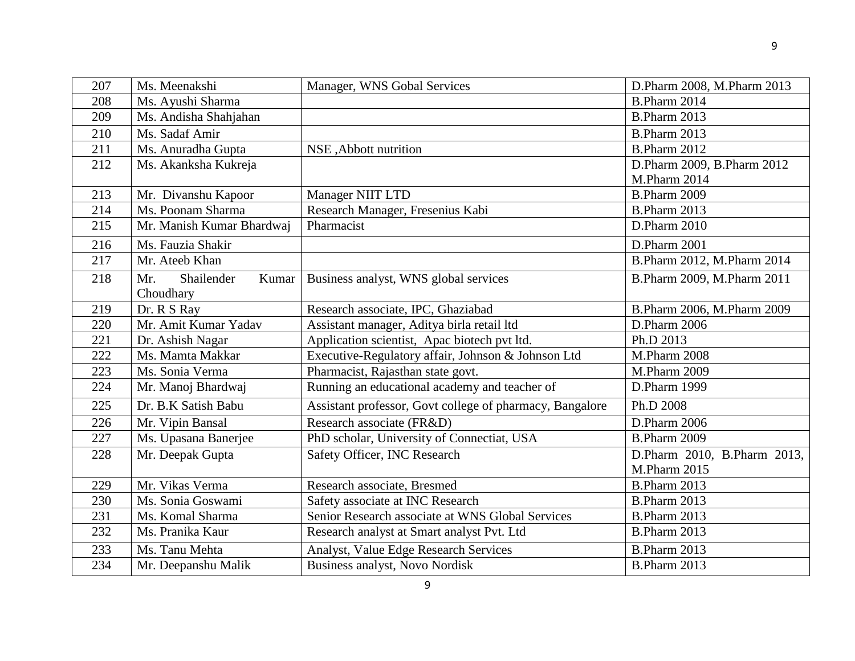| 207 | Ms. Meenakshi              | Manager, WNS Gobal Services                              | D.Pharm 2008, M.Pharm 2013  |
|-----|----------------------------|----------------------------------------------------------|-----------------------------|
| 208 | Ms. Ayushi Sharma          |                                                          | <b>B.Pharm 2014</b>         |
| 209 | Ms. Andisha Shahjahan      |                                                          | <b>B.Pharm 2013</b>         |
| 210 | Ms. Sadaf Amir             |                                                          | <b>B.Pharm 2013</b>         |
| 211 | Ms. Anuradha Gupta         | NSE, Abbott nutrition                                    | <b>B.Pharm 2012</b>         |
| 212 | Ms. Akanksha Kukreja       |                                                          | D.Pharm 2009, B.Pharm 2012  |
|     |                            |                                                          | <b>M.Pharm 2014</b>         |
| 213 | Mr. Divanshu Kapoor        | Manager NIIT LTD                                         | <b>B.Pharm 2009</b>         |
| 214 | Ms. Poonam Sharma          | Research Manager, Fresenius Kabi                         | <b>B.Pharm 2013</b>         |
| 215 | Mr. Manish Kumar Bhardwaj  | Pharmacist                                               | D.Pharm 2010                |
| 216 | Ms. Fauzia Shakir          |                                                          | D.Pharm 2001                |
| 217 | Mr. Ateeb Khan             |                                                          | B.Pharm 2012, M.Pharm 2014  |
| 218 | Mr.<br>Shailender<br>Kumar | Business analyst, WNS global services                    | B.Pharm 2009, M.Pharm 2011  |
|     | Choudhary                  |                                                          |                             |
| 219 | Dr. R S Ray                | Research associate, IPC, Ghaziabad                       | B.Pharm 2006, M.Pharm 2009  |
| 220 | Mr. Amit Kumar Yadav       | Assistant manager, Aditya birla retail ltd               | D.Pharm 2006                |
| 221 | Dr. Ashish Nagar           | Application scientist, Apac biotech pvt ltd.             | Ph.D 2013                   |
| 222 | Ms. Mamta Makkar           | Executive-Regulatory affair, Johnson & Johnson Ltd       | <b>M.Pharm 2008</b>         |
| 223 | Ms. Sonia Verma            | Pharmacist, Rajasthan state govt.                        | <b>M.Pharm 2009</b>         |
| 224 | Mr. Manoj Bhardwaj         | Running an educational academy and teacher of            | D.Pharm 1999                |
| 225 | Dr. B.K Satish Babu        | Assistant professor, Govt college of pharmacy, Bangalore | Ph.D 2008                   |
| 226 | Mr. Vipin Bansal           | Research associate (FR&D)                                | D.Pharm 2006                |
| 227 | Ms. Upasana Banerjee       | PhD scholar, University of Connectiat, USA               | <b>B.Pharm 2009</b>         |
| 228 | Mr. Deepak Gupta           | Safety Officer, INC Research                             | D.Pharm 2010, B.Pharm 2013, |
|     |                            |                                                          | <b>M.Pharm 2015</b>         |
| 229 | Mr. Vikas Verma            | Research associate, Bresmed                              | <b>B.Pharm 2013</b>         |
| 230 | Ms. Sonia Goswami          | Safety associate at INC Research                         | <b>B.Pharm 2013</b>         |
| 231 | Ms. Komal Sharma           | Senior Research associate at WNS Global Services         | <b>B.Pharm 2013</b>         |
| 232 | Ms. Pranika Kaur           | Research analyst at Smart analyst Pvt. Ltd               | <b>B.Pharm 2013</b>         |
| 233 | Ms. Tanu Mehta             | Analyst, Value Edge Research Services                    | <b>B.Pharm 2013</b>         |
| 234 | Mr. Deepanshu Malik        | Business analyst, Novo Nordisk                           | <b>B.Pharm 2013</b>         |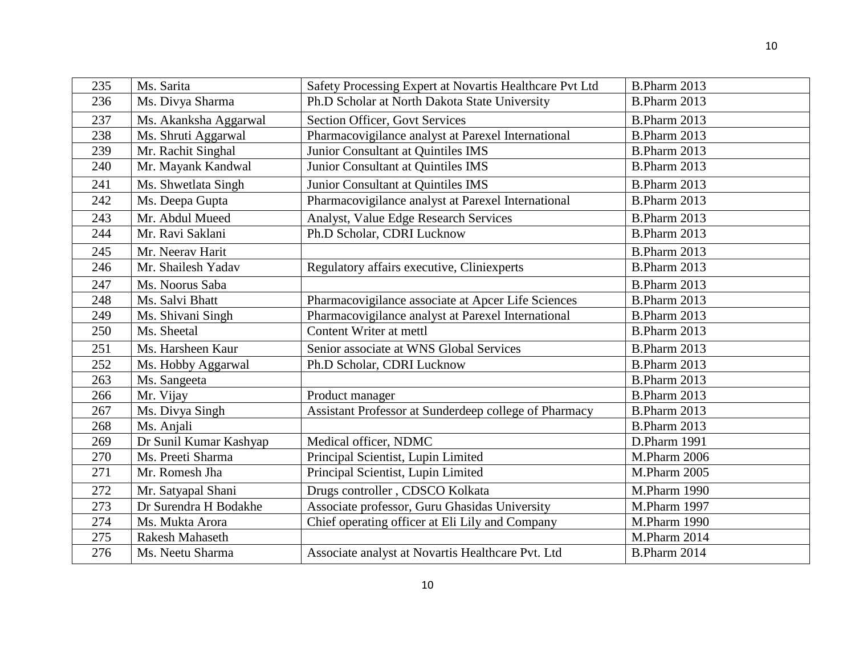| 235 | Ms. Sarita             | Safety Processing Expert at Novartis Healthcare Pvt Ltd | <b>B.Pharm 2013</b> |
|-----|------------------------|---------------------------------------------------------|---------------------|
| 236 | Ms. Divya Sharma       | Ph.D Scholar at North Dakota State University           | <b>B.Pharm 2013</b> |
| 237 | Ms. Akanksha Aggarwal  | Section Officer, Govt Services                          | <b>B.Pharm 2013</b> |
| 238 | Ms. Shruti Aggarwal    | Pharmacovigilance analyst at Parexel International      | <b>B.Pharm 2013</b> |
| 239 | Mr. Rachit Singhal     | Junior Consultant at Quintiles IMS                      | <b>B.Pharm 2013</b> |
| 240 | Mr. Mayank Kandwal     | Junior Consultant at Quintiles IMS                      | <b>B.Pharm 2013</b> |
| 241 | Ms. Shwetlata Singh    | Junior Consultant at Quintiles IMS                      | <b>B.Pharm 2013</b> |
| 242 | Ms. Deepa Gupta        | Pharmacovigilance analyst at Parexel International      | <b>B.Pharm 2013</b> |
| 243 | Mr. Abdul Mueed        | Analyst, Value Edge Research Services                   | <b>B.Pharm 2013</b> |
| 244 | Mr. Ravi Saklani       | Ph.D Scholar, CDRI Lucknow                              | <b>B.Pharm 2013</b> |
| 245 | Mr. Neerav Harit       |                                                         | <b>B.Pharm 2013</b> |
| 246 | Mr. Shailesh Yadav     | Regulatory affairs executive, Cliniexperts              | <b>B.Pharm 2013</b> |
| 247 | Ms. Noorus Saba        |                                                         | <b>B.Pharm 2013</b> |
| 248 | Ms. Salvi Bhatt        | Pharmacovigilance associate at Apcer Life Sciences      | <b>B.Pharm 2013</b> |
| 249 | Ms. Shivani Singh      | Pharmacovigilance analyst at Parexel International      | <b>B.Pharm 2013</b> |
| 250 | Ms. Sheetal            | Content Writer at mettl                                 | <b>B.Pharm 2013</b> |
| 251 | Ms. Harsheen Kaur      | Senior associate at WNS Global Services                 | <b>B.Pharm 2013</b> |
| 252 | Ms. Hobby Aggarwal     | Ph.D Scholar, CDRI Lucknow                              | <b>B.Pharm 2013</b> |
| 263 | Ms. Sangeeta           |                                                         | <b>B.Pharm 2013</b> |
| 266 | Mr. Vijay              | Product manager                                         | <b>B.Pharm 2013</b> |
| 267 | Ms. Divya Singh        | Assistant Professor at Sunderdeep college of Pharmacy   | <b>B.Pharm 2013</b> |
| 268 | Ms. Anjali             |                                                         | <b>B.Pharm 2013</b> |
| 269 | Dr Sunil Kumar Kashyap | Medical officer, NDMC                                   | D.Pharm 1991        |
| 270 | Ms. Preeti Sharma      | Principal Scientist, Lupin Limited                      | M.Pharm 2006        |
| 271 | Mr. Romesh Jha         | Principal Scientist, Lupin Limited                      | M.Pharm 2005        |
| 272 | Mr. Satyapal Shani     | Drugs controller, CDSCO Kolkata                         | <b>M.Pharm 1990</b> |
| 273 | Dr Surendra H Bodakhe  | Associate professor, Guru Ghasidas University           | M.Pharm 1997        |
| 274 | Ms. Mukta Arora        | Chief operating officer at Eli Lily and Company         | <b>M.Pharm 1990</b> |
| 275 | Rakesh Mahaseth        |                                                         | <b>M.Pharm 2014</b> |
| 276 | Ms. Neetu Sharma       | Associate analyst at Novartis Healthcare Pvt. Ltd       | <b>B.Pharm 2014</b> |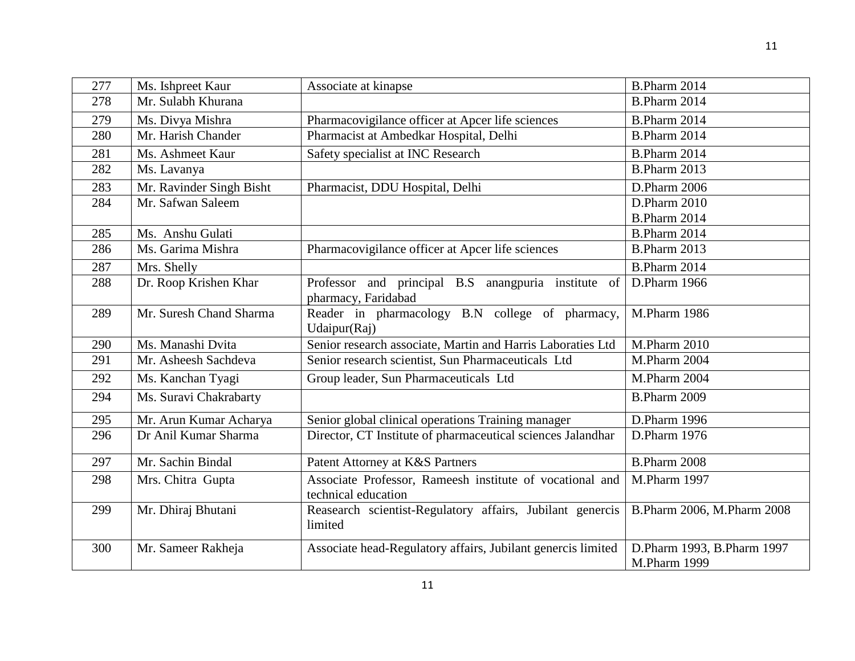| 277 | Ms. Ishpreet Kaur        | Associate at kinapse                                                            | <b>B.Pharm 2014</b>                        |
|-----|--------------------------|---------------------------------------------------------------------------------|--------------------------------------------|
| 278 | Mr. Sulabh Khurana       |                                                                                 | <b>B.Pharm 2014</b>                        |
| 279 | Ms. Divya Mishra         | Pharmacovigilance officer at Apcer life sciences                                | <b>B.Pharm 2014</b>                        |
| 280 | Mr. Harish Chander       | Pharmacist at Ambedkar Hospital, Delhi                                          | <b>B.Pharm 2014</b>                        |
| 281 | Ms. Ashmeet Kaur         | Safety specialist at INC Research                                               | <b>B.Pharm 2014</b>                        |
| 282 | Ms. Lavanya              |                                                                                 | <b>B.Pharm 2013</b>                        |
| 283 | Mr. Ravinder Singh Bisht | Pharmacist, DDU Hospital, Delhi                                                 | D.Pharm 2006                               |
| 284 | Mr. Safwan Saleem        |                                                                                 | D.Pharm 2010                               |
|     |                          |                                                                                 | <b>B.Pharm 2014</b>                        |
| 285 | Ms. Anshu Gulati         |                                                                                 | <b>B.Pharm 2014</b>                        |
| 286 | Ms. Garima Mishra        | Pharmacovigilance officer at Apcer life sciences                                | <b>B.Pharm 2013</b>                        |
| 287 | Mrs. Shelly              |                                                                                 | <b>B.Pharm 2014</b>                        |
| 288 | Dr. Roop Krishen Khar    | Professor and principal B.S anangpuria institute of<br>pharmacy, Faridabad      | D.Pharm 1966                               |
| 289 | Mr. Suresh Chand Sharma  | Reader in pharmacology B.N college of pharmacy,<br>Udaipur(Raj)                 | <b>M.Pharm 1986</b>                        |
| 290 | Ms. Manashi Dvita        | Senior research associate, Martin and Harris Laboraties Ltd                     | <b>M.Pharm 2010</b>                        |
| 291 | Mr. Asheesh Sachdeva     | Senior research scientist, Sun Pharmaceuticals Ltd                              | M.Pharm 2004                               |
| 292 | Ms. Kanchan Tyagi        | Group leader, Sun Pharmaceuticals Ltd                                           | <b>M.Pharm 2004</b>                        |
| 294 | Ms. Suravi Chakrabarty   |                                                                                 | <b>B.Pharm 2009</b>                        |
| 295 | Mr. Arun Kumar Acharya   | Senior global clinical operations Training manager                              | D.Pharm 1996                               |
| 296 | Dr Anil Kumar Sharma     | Director, CT Institute of pharmaceutical sciences Jalandhar                     | D.Pharm 1976                               |
| 297 | Mr. Sachin Bindal        | Patent Attorney at K&S Partners                                                 | <b>B.Pharm 2008</b>                        |
| 298 | Mrs. Chitra Gupta        | Associate Professor, Rameesh institute of vocational and<br>technical education | <b>M.Pharm 1997</b>                        |
| 299 | Mr. Dhiraj Bhutani       | Reasearch scientist-Regulatory affairs, Jubilant genercis<br>limited            | B.Pharm 2006, M.Pharm 2008                 |
| 300 | Mr. Sameer Rakheja       | Associate head-Regulatory affairs, Jubilant genercis limited                    | D.Pharm 1993, B.Pharm 1997<br>M.Pharm 1999 |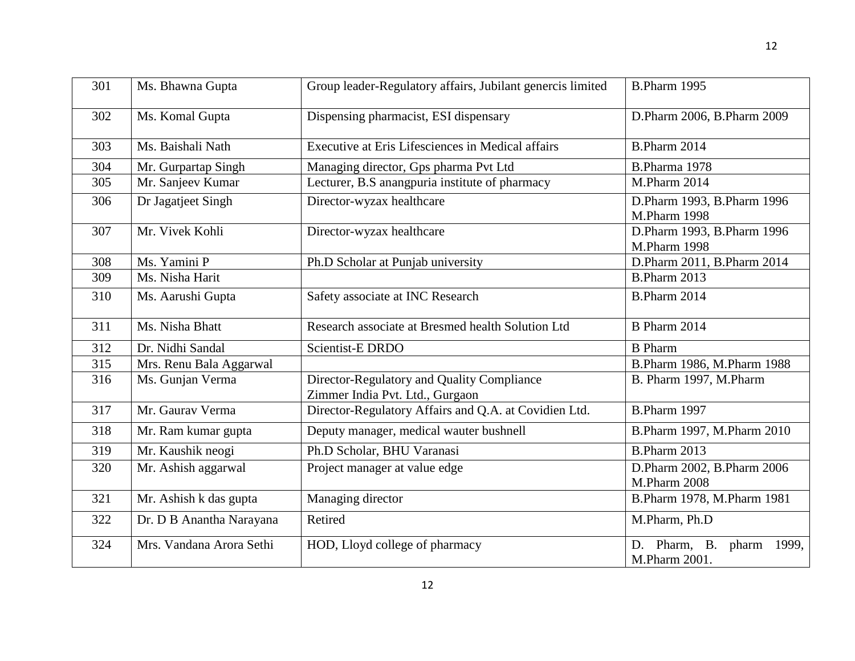| 301 | Ms. Bhawna Gupta         | Group leader-Regulatory affairs, Jubilant genercis limited                    | <b>B.Pharm 1995</b>                               |
|-----|--------------------------|-------------------------------------------------------------------------------|---------------------------------------------------|
| 302 | Ms. Komal Gupta          | Dispensing pharmacist, ESI dispensary                                         | D.Pharm 2006, B.Pharm 2009                        |
| 303 | Ms. Baishali Nath        | Executive at Eris Lifesciences in Medical affairs                             | <b>B.Pharm 2014</b>                               |
| 304 | Mr. Gurpartap Singh      | Managing director, Gps pharma Pvt Ltd                                         | B.Pharma 1978                                     |
| 305 | Mr. Sanjeev Kumar        | Lecturer, B.S anangpuria institute of pharmacy                                | <b>M.Pharm 2014</b>                               |
| 306 | Dr Jagatjeet Singh       | Director-wyzax healthcare                                                     | D.Pharm 1993, B.Pharm 1996<br><b>M.Pharm 1998</b> |
| 307 | Mr. Vivek Kohli          | Director-wyzax healthcare                                                     | D.Pharm 1993, B.Pharm 1996<br><b>M.Pharm 1998</b> |
| 308 | Ms. Yamini P             | Ph.D Scholar at Punjab university                                             | D.Pharm 2011, B.Pharm 2014                        |
| 309 | Ms. Nisha Harit          |                                                                               | <b>B.Pharm 2013</b>                               |
| 310 | Ms. Aarushi Gupta        | Safety associate at INC Research                                              | <b>B.Pharm 2014</b>                               |
| 311 | Ms. Nisha Bhatt          | Research associate at Bresmed health Solution Ltd                             | <b>B</b> Pharm 2014                               |
| 312 | Dr. Nidhi Sandal         | Scientist-E DRDO                                                              | <b>B</b> Pharm                                    |
| 315 | Mrs. Renu Bala Aggarwal  |                                                                               | B.Pharm 1986, M.Pharm 1988                        |
| 316 | Ms. Gunjan Verma         | Director-Regulatory and Quality Compliance<br>Zimmer India Pvt. Ltd., Gurgaon | B. Pharm 1997, M.Pharm                            |
| 317 | Mr. Gaurav Verma         | Director-Regulatory Affairs and Q.A. at Covidien Ltd.                         | <b>B.Pharm 1997</b>                               |
| 318 | Mr. Ram kumar gupta      | Deputy manager, medical wauter bushnell                                       | B.Pharm 1997, M.Pharm 2010                        |
| 319 | Mr. Kaushik neogi        | Ph.D Scholar, BHU Varanasi                                                    | <b>B.Pharm 2013</b>                               |
| 320 | Mr. Ashish aggarwal      | Project manager at value edge                                                 | D.Pharm 2002, B.Pharm 2006<br><b>M.Pharm 2008</b> |
| 321 | Mr. Ashish k das gupta   | Managing director                                                             | B.Pharm 1978, M.Pharm 1981                        |
| 322 | Dr. D B Anantha Narayana | Retired                                                                       | M.Pharm, Ph.D                                     |
| 324 | Mrs. Vandana Arora Sethi | HOD, Lloyd college of pharmacy                                                | D. Pharm, B. pharm 1999,<br>M.Pharm 2001.         |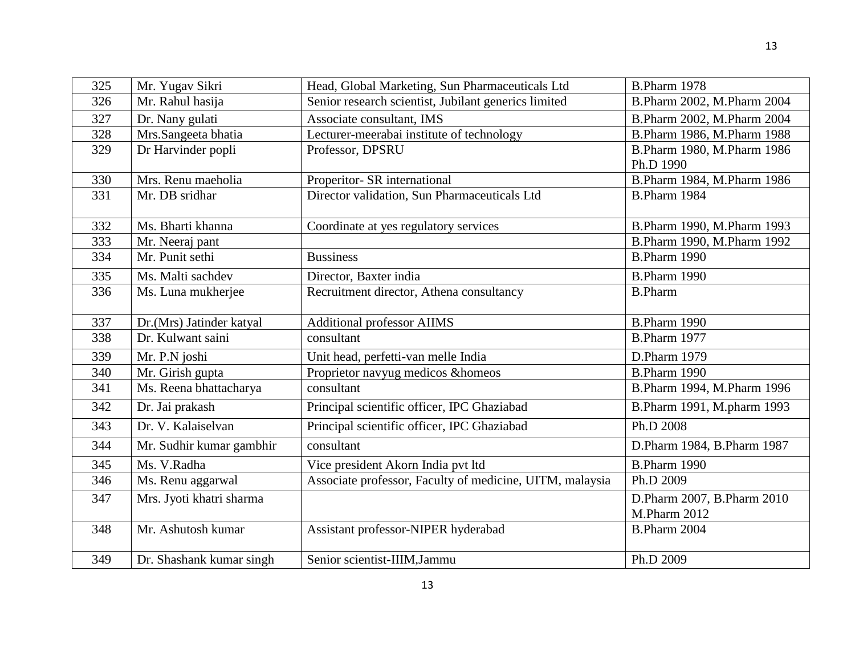| 325 | Mr. Yugav Sikri          | Head, Global Marketing, Sun Pharmaceuticals Ltd          | <b>B.Pharm 1978</b>        |
|-----|--------------------------|----------------------------------------------------------|----------------------------|
| 326 | Mr. Rahul hasija         | Senior research scientist, Jubilant generics limited     | B.Pharm 2002, M.Pharm 2004 |
| 327 | Dr. Nany gulati          | Associate consultant, IMS                                | B.Pharm 2002, M.Pharm 2004 |
| 328 | Mrs.Sangeeta bhatia      | Lecturer-meerabai institute of technology                | B.Pharm 1986, M.Pharm 1988 |
| 329 | Dr Harvinder popli       | Professor, DPSRU                                         | B.Pharm 1980, M.Pharm 1986 |
|     |                          |                                                          | Ph.D 1990                  |
| 330 | Mrs. Renu maeholia       | Properitor- SR international                             | B.Pharm 1984, M.Pharm 1986 |
| 331 | Mr. DB sridhar           | Director validation, Sun Pharmaceuticals Ltd             | <b>B.Pharm 1984</b>        |
| 332 | Ms. Bharti khanna        | Coordinate at yes regulatory services                    | B.Pharm 1990, M.Pharm 1993 |
| 333 | Mr. Neeraj pant          |                                                          | B.Pharm 1990, M.Pharm 1992 |
| 334 | Mr. Punit sethi          | <b>Bussiness</b>                                         | <b>B.Pharm 1990</b>        |
| 335 | Ms. Malti sachdev        | Director, Baxter india                                   | <b>B.Pharm 1990</b>        |
| 336 | Ms. Luna mukherjee       | Recruitment director, Athena consultancy                 | <b>B.Pharm</b>             |
| 337 | Dr.(Mrs) Jatinder katyal | <b>Additional professor AIIMS</b>                        | <b>B.Pharm 1990</b>        |
| 338 | Dr. Kulwant saini        | consultant                                               | <b>B.Pharm 1977</b>        |
| 339 | Mr. P.N joshi            | Unit head, perfetti-van melle India                      | D.Pharm 1979               |
| 340 | Mr. Girish gupta         | Proprietor navyug medicos & homeos                       | <b>B.Pharm 1990</b>        |
| 341 | Ms. Reena bhattacharya   | consultant                                               | B.Pharm 1994, M.Pharm 1996 |
|     |                          |                                                          |                            |
| 342 | Dr. Jai prakash          | Principal scientific officer, IPC Ghaziabad              | B.Pharm 1991, M.pharm 1993 |
| 343 | Dr. V. Kalaiselvan       | Principal scientific officer, IPC Ghaziabad              | Ph.D 2008                  |
| 344 | Mr. Sudhir kumar gambhir | consultant                                               | D.Pharm 1984, B.Pharm 1987 |
| 345 | Ms. V.Radha              | Vice president Akorn India pvt ltd                       | <b>B.Pharm 1990</b>        |
| 346 | Ms. Renu aggarwal        | Associate professor, Faculty of medicine, UITM, malaysia | Ph.D 2009                  |
| 347 | Mrs. Jyoti khatri sharma |                                                          | D.Pharm 2007, B.Pharm 2010 |
|     |                          |                                                          | <b>M.Pharm 2012</b>        |
| 348 | Mr. Ashutosh kumar       | Assistant professor-NIPER hyderabad                      | <b>B.Pharm 2004</b>        |
|     |                          |                                                          |                            |
| 349 | Dr. Shashank kumar singh | Senior scientist-IIIM, Jammu                             | Ph.D 2009                  |